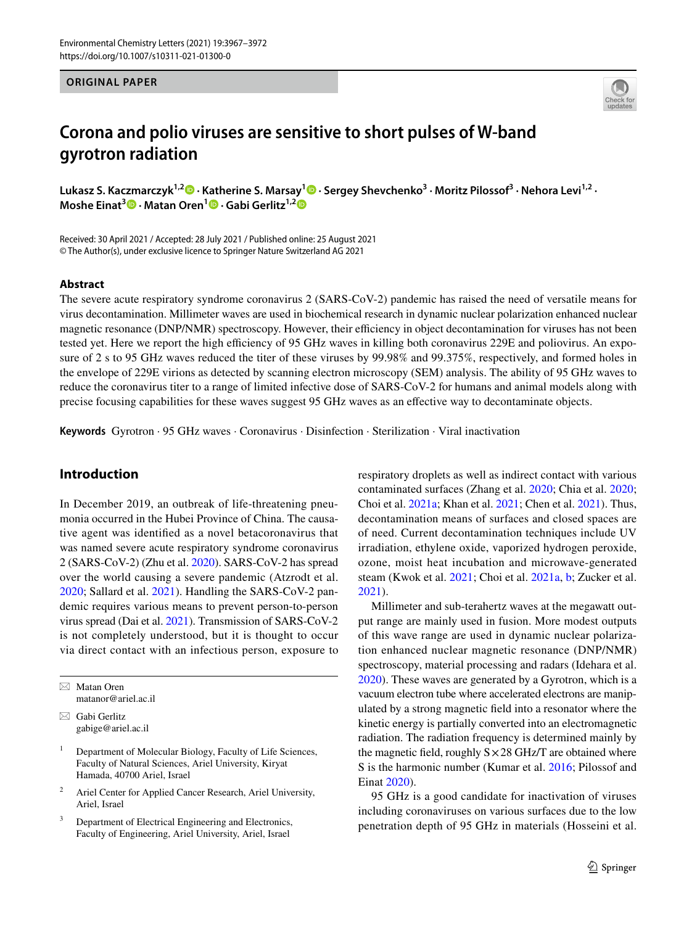#### **ORIGINAL PAPER**



## **Corona and polio viruses are sensitive to short pulses of W‑band gyrotron radiation**

**Lukasz S. Kaczmarczyk1,2 · Katherine S. Marsay<sup>1</sup> · Sergey Shevchenko3 · Moritz Pilossof3 · Nehora Levi1,2 · Moshe Einat<sup>3</sup> • Matan Oren<sup>1</sup> • Gabi Gerlitz<sup>1,2</sup> •** 

Received: 30 April 2021 / Accepted: 28 July 2021 / Published online: 25 August 2021 © The Author(s), under exclusive licence to Springer Nature Switzerland AG 2021

#### **Abstract**

The severe acute respiratory syndrome coronavirus 2 (SARS-CoV-2) pandemic has raised the need of versatile means for virus decontamination. Millimeter waves are used in biochemical research in dynamic nuclear polarization enhanced nuclear magnetic resonance (DNP/NMR) spectroscopy. However, their efficiency in object decontamination for viruses has not been tested yet. Here we report the high efficiency of 95 GHz waves in killing both coronavirus 229E and poliovirus. An exposure of 2 s to 95 GHz waves reduced the titer of these viruses by 99.98% and 99.375%, respectively, and formed holes in the envelope of 229E virions as detected by scanning electron microscopy (SEM) analysis. The ability of 95 GHz waves to reduce the coronavirus titer to a range of limited infective dose of SARS-CoV-2 for humans and animal models along with precise focusing capabilities for these waves suggest 95 GHz waves as an efective way to decontaminate objects.

**Keywords** Gyrotron · 95 GHz waves · Coronavirus · Disinfection · Sterilization · Viral inactivation

## **Introduction**

In December 2019, an outbreak of life-threatening pneumonia occurred in the Hubei Province of China. The causative agent was identifed as a novel betacoronavirus that was named severe acute respiratory syndrome coronavirus 2 (SARS-CoV-2) (Zhu et al. 2020). SARS-CoV-2 has spread over the world causing a severe pandemic (Atzrodt et al. 2020; Sallard et al. 2021). Handling the SARS-CoV-2 pandemic requires various means to prevent person-to-person virus spread (Dai et al. 2021). Transmission of SARS-CoV-2 is not completely understood, but it is thought to occur via direct contact with an infectious person, exposure to

 $\boxtimes$  Matan Oren matanor@ariel.ac.il

 $\boxtimes$  Gabi Gerlitz gabige@ariel.ac.il

- <sup>1</sup> Department of Molecular Biology, Faculty of Life Sciences, Faculty of Natural Sciences, Ariel University, Kiryat Hamada, 40700 Ariel, Israel
- <sup>2</sup> Ariel Center for Applied Cancer Research, Ariel University, Ariel, Israel
- <sup>3</sup> Department of Electrical Engineering and Electronics, Faculty of Engineering, Ariel University, Ariel, Israel

respiratory droplets as well as indirect contact with various contaminated surfaces (Zhang et al. 2020; Chia et al. 2020; Choi et al. 2021a; Khan et al. 2021; Chen et al. 2021). Thus, decontamination means of surfaces and closed spaces are of need. Current decontamination techniques include UV irradiation, ethylene oxide, vaporized hydrogen peroxide, ozone, moist heat incubation and microwave-generated steam (Kwok et al. 2021; Choi et al. 2021a, b; Zucker et al. 2021).

Millimeter and sub-terahertz waves at the megawatt output range are mainly used in fusion. More modest outputs of this wave range are used in dynamic nuclear polarization enhanced nuclear magnetic resonance (DNP/NMR) spectroscopy, material processing and radars (Idehara et al. 2020). These waves are generated by a Gyrotron, which is a vacuum electron tube where accelerated electrons are manipulated by a strong magnetic feld into a resonator where the kinetic energy is partially converted into an electromagnetic radiation. The radiation frequency is determined mainly by the magnetic field, roughly  $S \times 28$  GHz/T are obtained where S is the harmonic number (Kumar et al. 2016; Pilossof and Einat 2020).

95 GHz is a good candidate for inactivation of viruses including coronaviruses on various surfaces due to the low penetration depth of 95 GHz in materials (Hosseini et al.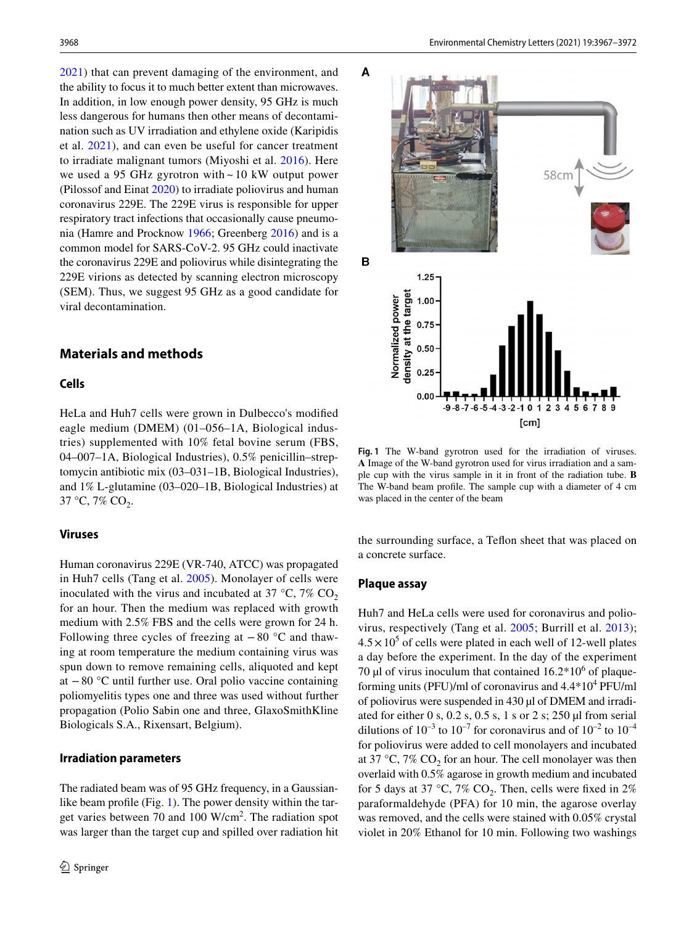2021) that can prevent damaging of the environment, and the ability to focus it to much better extent than microwaves. In addition, in low enough power density, 95 GHz is much less dangerous for humans then other means of decontamination such as UV irradiation and ethylene oxide (Karipidis et al. 2021), and can even be useful for cancer treatment to irradiate malignant tumors (Miyoshi et al. 2016). Here we used a 95 GHz gyrotron with  $\sim$  10 kW output power (Pilossof and Einat 2020) to irradiate poliovirus and human coronavirus 229E. The 229E virus is responsible for upper respiratory tract infections that occasionally cause pneumonia (Hamre and Procknow 1966; Greenberg 2016) and is a common model for SARS-CoV-2. 95 GHz could inactivate the coronavirus 229E and poliovirus while disintegrating the 229E virions as detected by scanning electron microscopy (SEM). Thus, we suggest 95 GHz as a good candidate for viral decontamination.

## **Materials and methods**

## **Cells**

HeLa and Huh7 cells were grown in Dulbecco's modifed eagle medium (DMEM) (01–056–1A, Biological industries) supplemented with 10% fetal bovine serum (FBS, 04–007–1A, Biological Industries), 0.5% penicillin–streptomycin antibiotic mix (03–031–1B, Biological Industries), and 1% L-glutamine (03–020–1B, Biological Industries) at  $37 \text{ °C}, 7\% \text{ CO}_2.$ 

#### **Viruses**

Human coronavirus 229E (VR-740, ATCC) was propagated in Huh7 cells (Tang et al. 2005). Monolayer of cells were inoculated with the virus and incubated at 37  $\degree$ C, 7% CO<sub>2</sub> for an hour. Then the medium was replaced with growth medium with 2.5% FBS and the cells were grown for 24 h. Following three cycles of freezing at  $-80$  °C and thawing at room temperature the medium containing virus was spun down to remove remaining cells, aliquoted and kept at −80 °C until further use. Oral polio vaccine containing poliomyelitis types one and three was used without further propagation (Polio Sabin one and three, GlaxoSmithKline Biologicals S.A., Rixensart, Belgium).

#### **Irradiation parameters**

The radiated beam was of 95 GHz frequency, in a Gaussianlike beam profile (Fig. 1). The power density within the target varies between 70 and 100 W/cm<sup>2</sup>. The radiation spot was larger than the target cup and spilled over radiation hit



**Fig. 1** The W-band gyrotron used for the irradiation of viruses. **A** Image of the W-band gyrotron used for virus irradiation and a sample cup with the virus sample in it in front of the radiation tube. **B** The W-band beam profle. The sample cup with a diameter of 4 cm was placed in the center of the beam

the surrounding surface, a Tefon sheet that was placed on a concrete surface.

#### **Plaque assay**

Huh7 and HeLa cells were used for coronavirus and poliovirus, respectively (Tang et al. 2005; Burrill et al. 2013);  $4.5 \times 10^5$  of cells were plated in each well of 12-well plates a day before the experiment. In the day of the experiment 70  $\mu$ l of virus inoculum that contained 16.2 $*10^6$  of plaqueforming units (PFU)/ml of coronavirus and  $4.4*10<sup>4</sup>$  PFU/ml of poliovirus were suspended in 430 µl of DMEM and irradiated for either 0 s, 0.2 s, 0.5 s, 1 s or 2 s; 250  $\mu$ I from serial dilutions of  $10^{-3}$  to  $10^{-7}$  for coronavirus and of  $10^{-2}$  to  $10^{-4}$ for poliovirus were added to cell monolayers and incubated at 37 °C, 7%  $CO<sub>2</sub>$  for an hour. The cell monolayer was then overlaid with 0.5% agarose in growth medium and incubated for 5 days at 37 °C, 7%  $CO_2$ . Then, cells were fixed in 2% paraformaldehyde (PFA) for 10 min, the agarose overlay was removed, and the cells were stained with 0.05% crystal violet in 20% Ethanol for 10 min. Following two washings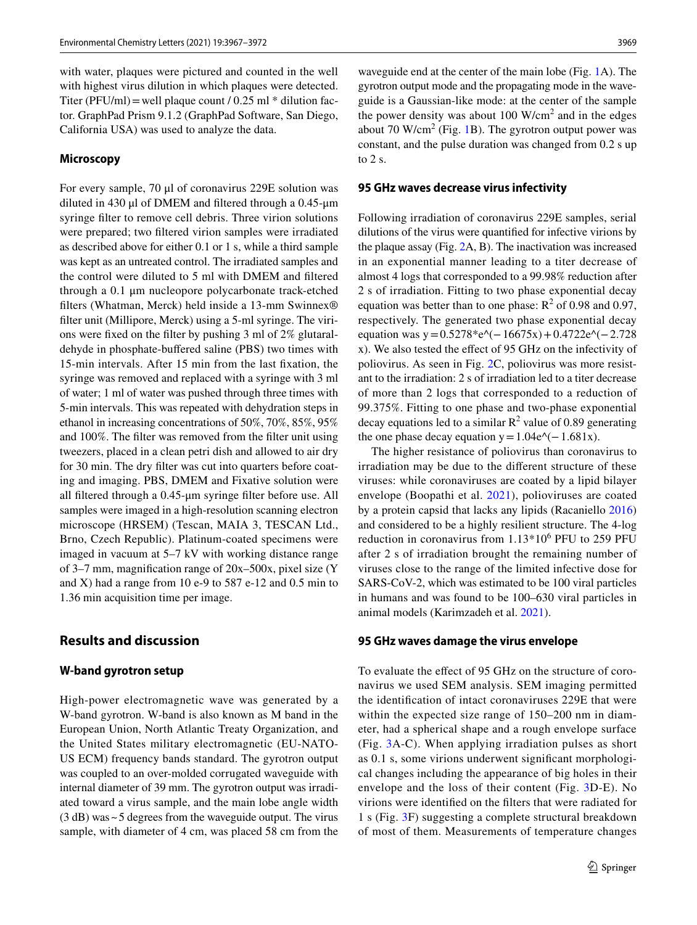with water, plaques were pictured and counted in the well with highest virus dilution in which plaques were detected. Titer (PFU/ml) = well plaque count  $/ 0.25$  ml  $*$  dilution factor. GraphPad Prism 9.1.2 (GraphPad Software, San Diego, California USA) was used to analyze the data.

#### **Microscopy**

For every sample, 70 μl of coronavirus 229E solution was diluted in 430 μl of DMEM and fltered through a 0.45-μm syringe flter to remove cell debris. Three virion solutions were prepared; two fltered virion samples were irradiated as described above for either 0.1 or 1 s, while a third sample was kept as an untreated control. The irradiated samples and the control were diluted to 5 ml with DMEM and fltered through a 0.1 μm nucleopore polycarbonate track-etched flters (Whatman, Merck) held inside a 13-mm Swinnex® flter unit (Millipore, Merck) using a 5-ml syringe. The virions were fxed on the flter by pushing 3 ml of 2% glutaraldehyde in phosphate-buffered saline (PBS) two times with 15-min intervals. After 15 min from the last fxation, the syringe was removed and replaced with a syringe with 3 ml of water; 1 ml of water was pushed through three times with 5-min intervals. This was repeated with dehydration steps in ethanol in increasing concentrations of 50%, 70%, 85%, 95% and 100%. The flter was removed from the flter unit using tweezers, placed in a clean petri dish and allowed to air dry for 30 min. The dry flter was cut into quarters before coating and imaging. PBS, DMEM and Fixative solution were all fltered through a 0.45-μm syringe flter before use. All samples were imaged in a high-resolution scanning electron microscope (HRSEM) (Tescan, MAIA 3, TESCAN Ltd., Brno, Czech Republic). Platinum-coated specimens were imaged in vacuum at 5–7 kV with working distance range of 3–7 mm, magnifcation range of 20x–500x, pixel size (Y and X) had a range from 10 e-9 to 587 e-12 and 0.5 min to 1.36 min acquisition time per image.

## **Results and discussion**

#### **W‑band gyrotron setup**

High-power electromagnetic wave was generated by a W-band gyrotron. W-band is also known as M band in the European Union, North Atlantic Treaty Organization, and the United States military electromagnetic (EU-NATO-US ECM) frequency bands standard. The gyrotron output was coupled to an over-molded corrugated waveguide with internal diameter of 39 mm. The gyrotron output was irradiated toward a virus sample, and the main lobe angle width (3 dB) was~5 degrees from the waveguide output. The virus sample, with diameter of 4 cm, was placed 58 cm from the

waveguide end at the center of the main lobe (Fig. 1A). The gyrotron output mode and the propagating mode in the waveguide is a Gaussian-like mode: at the center of the sample the power density was about  $100 \text{ W/cm}^2$  and in the edges about 70 W/cm<sup>2</sup> (Fig. 1B). The gyrotron output power was constant, and the pulse duration was changed from 0.2 s up to 2 s.

#### **95 GHz waves decrease virus infectivity**

Following irradiation of coronavirus 229E samples, serial dilutions of the virus were quantifed for infective virions by the plaque assay (Fig. 2A, B). The inactivation was increased in an exponential manner leading to a titer decrease of almost 4 logs that corresponded to a 99.98% reduction after 2 s of irradiation. Fitting to two phase exponential decay equation was better than to one phase:  $R^2$  of 0.98 and 0.97, respectively. The generated two phase exponential decay equation was y= $0.5278*e$ ^(−16675x) + 0.4722e^(−2.728 x). We also tested the efect of 95 GHz on the infectivity of poliovirus. As seen in Fig. 2C, poliovirus was more resistant to the irradiation: 2 s of irradiation led to a titer decrease of more than 2 logs that corresponded to a reduction of 99.375%. Fitting to one phase and two-phase exponential decay equations led to a similar  $R^2$  value of 0.89 generating the one phase decay equation y =  $1.04e^{\lambda}(-1.681x)$ .

The higher resistance of poliovirus than coronavirus to irradiation may be due to the diferent structure of these viruses: while coronaviruses are coated by a lipid bilayer envelope (Boopathi et al. 2021), polioviruses are coated by a protein capsid that lacks any lipids (Racaniello 2016) and considered to be a highly resilient structure. The 4-log reduction in coronavirus from  $1.13*10^6$  PFU to 259 PFU after 2 s of irradiation brought the remaining number of viruses close to the range of the limited infective dose for SARS-CoV-2, which was estimated to be 100 viral particles in humans and was found to be 100–630 viral particles in animal models (Karimzadeh et al. 2021).

#### **95 GHz waves damage the virus envelope**

To evaluate the efect of 95 GHz on the structure of coronavirus we used SEM analysis. SEM imaging permitted the identifcation of intact coronaviruses 229E that were within the expected size range of 150–200 nm in diameter, had a spherical shape and a rough envelope surface (Fig. 3A-C). When applying irradiation pulses as short as 0.1 s, some virions underwent signifcant morphological changes including the appearance of big holes in their envelope and the loss of their content (Fig. 3D-E). No virions were identifed on the flters that were radiated for 1 s (Fig. 3F) suggesting a complete structural breakdown of most of them. Measurements of temperature changes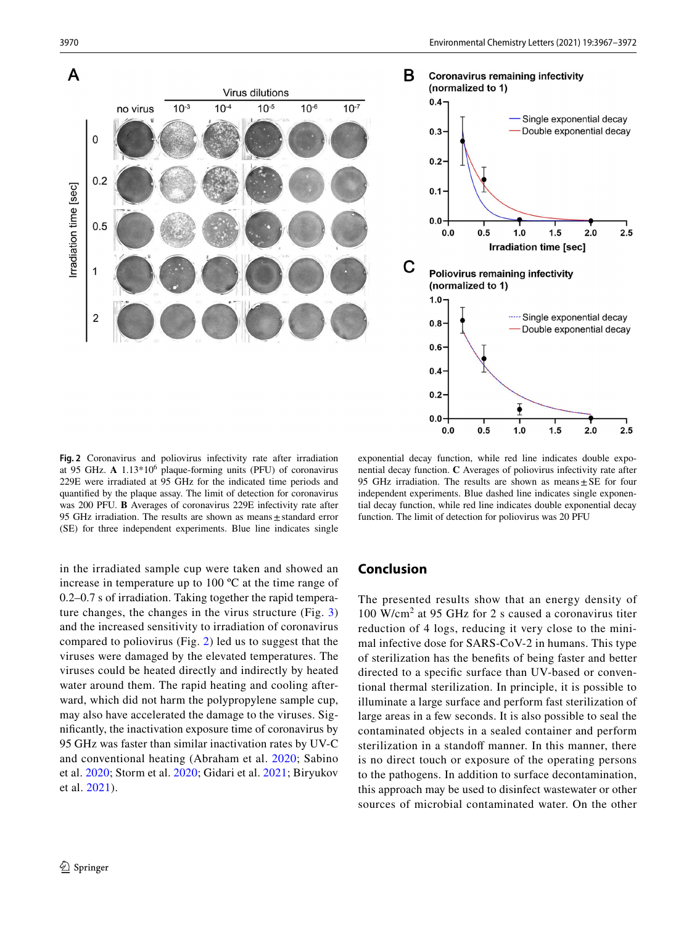

**Fig. 2** Coronavirus and poliovirus infectivity rate after irradiation at 95 GHz. **A** 1.13\*10<sup>6</sup> plaque-forming units (PFU) of coronavirus 229E were irradiated at 95 GHz for the indicated time periods and quantifed by the plaque assay. The limit of detection for coronavirus was 200 PFU. **B** Averages of coronavirus 229E infectivity rate after 95 GHz irradiation. The results are shown as means $\pm$ standard error (SE) for three independent experiments. Blue line indicates single

exponential decay function, while red line indicates double exponential decay function. **C** Averages of poliovirus infectivity rate after 95 GHz irradiation. The results are shown as means $\pm$ SE for four independent experiments. Blue dashed line indicates single exponential decay function, while red line indicates double exponential decay function. The limit of detection for poliovirus was 20 PFU

in the irradiated sample cup were taken and showed an increase in temperature up to 100 ºC at the time range of 0.2–0.7 s of irradiation. Taking together the rapid temperature changes, the changes in the virus structure (Fig. 3) and the increased sensitivity to irradiation of coronavirus compared to poliovirus (Fig. 2) led us to suggest that the viruses were damaged by the elevated temperatures. The viruses could be heated directly and indirectly by heated water around them. The rapid heating and cooling afterward, which did not harm the polypropylene sample cup, may also have accelerated the damage to the viruses. Signifcantly, the inactivation exposure time of coronavirus by 95 GHz was faster than similar inactivation rates by UV-C and conventional heating (Abraham et al. 2020; Sabino et al. 2020; Storm et al. 2020; Gidari et al. 2021; Biryukov et al. 2021).

# **Conclusion**

The presented results show that an energy density of 100 W/cm<sup>2</sup> at 95 GHz for 2 s caused a coronavirus titer reduction of 4 logs, reducing it very close to the minimal infective dose for SARS-CoV-2 in humans. This type of sterilization has the benefts of being faster and better directed to a specifc surface than UV-based or conventional thermal sterilization. In principle, it is possible to illuminate a large surface and perform fast sterilization of large areas in a few seconds. It is also possible to seal the contaminated objects in a sealed container and perform sterilization in a standoff manner. In this manner, there is no direct touch or exposure of the operating persons to the pathogens. In addition to surface decontamination, this approach may be used to disinfect wastewater or other sources of microbial contaminated water. On the other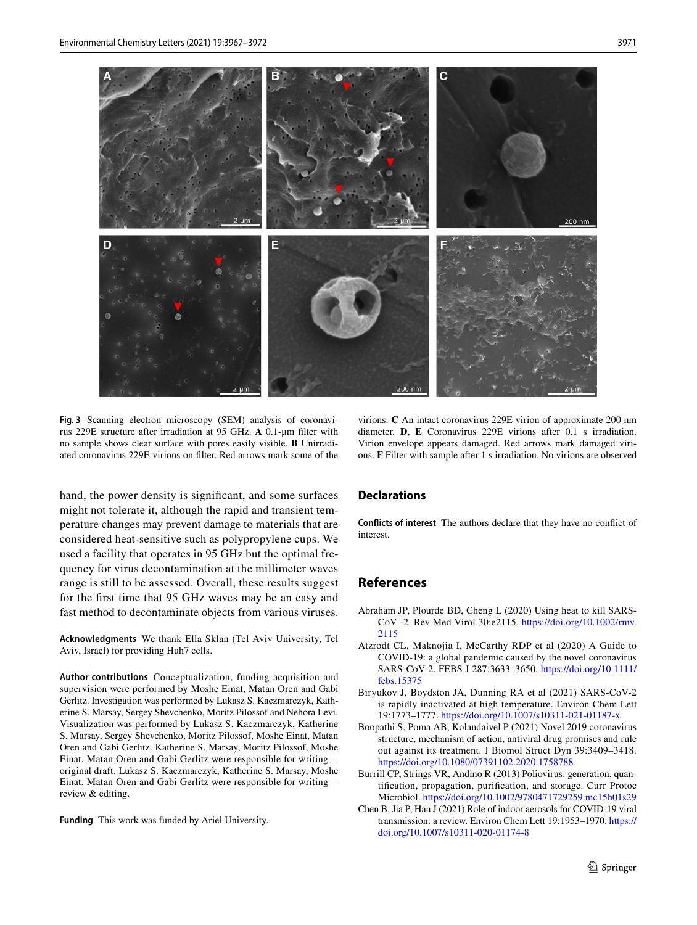

**Fig. 3** Scanning electron microscopy (SEM) analysis of coronavirus 229E structure after irradiation at 95 GHz. **A** 0.1-μm flter with no sample shows clear surface with pores easily visible. **B** Unirradiated coronavirus 229E virions on flter. Red arrows mark some of the

hand, the power density is signifcant, and some surfaces might not tolerate it, although the rapid and transient temperature changes may prevent damage to materials that are considered heat-sensitive such as polypropylene cups. We used a facility that operates in 95 GHz but the optimal frequency for virus decontamination at the millimeter waves range is still to be assessed. Overall, these results suggest for the frst time that 95 GHz waves may be an easy and fast method to decontaminate objects from various viruses.

**Acknowledgments** We thank Ella Sklan (Tel Aviv University, Tel Aviv, Israel) for providing Huh7 cells.

**Author contributions** Conceptualization, funding acquisition and supervision were performed by Moshe Einat, Matan Oren and Gabi Gerlitz. Investigation was performed by Lukasz S. Kaczmarczyk, Katherine S. Marsay, Sergey Shevchenko, Moritz Pilossof and Nehora Levi. Visualization was performed by Lukasz S. Kaczmarczyk, Katherine S. Marsay, Sergey Shevchenko, Moritz Pilossof, Moshe Einat, Matan Oren and Gabi Gerlitz. Katherine S. Marsay, Moritz Pilossof, Moshe Einat, Matan Oren and Gabi Gerlitz were responsible for writing original draft. Lukasz S. Kaczmarczyk, Katherine S. Marsay, Moshe Einat, Matan Oren and Gabi Gerlitz were responsible for writing review & editing.

**Funding** This work was funded by Ariel University.

virions. **C** An intact coronavirus 229E virion of approximate 200 nm diameter. **D**, **E** Coronavirus 229E virions after 0.1 s irradiation. Virion envelope appears damaged. Red arrows mark damaged virions. **F** Filter with sample after 1 s irradiation. No virions are observed

#### **Declarations**

**Conflicts of interest** The authors declare that they have no confict of interest.

## **References**

- Abraham JP, Plourde BD, Cheng L (2020) Using heat to kill SARS-CoV -2. Rev Med Virol 30:e2115. https://doi.org/10.1002/rmv. 2115
- Atzrodt CL, Maknojia I, McCarthy RDP et al (2020) A Guide to COVID-19: a global pandemic caused by the novel coronavirus SARS-CoV-2. FEBS J 287:3633–3650. https://doi.org/10.1111/ febs.15375
- Biryukov J, Boydston JA, Dunning RA et al (2021) SARS-CoV-2 is rapidly inactivated at high temperature. Environ Chem Lett 19:1773–1777. https://doi.org/10.1007/s10311-021-01187-x
- Boopathi S, Poma AB, Kolandaivel P (2021) Novel 2019 coronavirus structure, mechanism of action, antiviral drug promises and rule out against its treatment. J Biomol Struct Dyn 39:3409–3418. https://doi.org/10.1080/07391102.2020.1758788
- Burrill CP, Strings VR, Andino R (2013) Poliovirus: generation, quantifcation, propagation, purifcation, and storage. Curr Protoc Microbiol. https://doi.org/10.1002/9780471729259.mc15h01s29
- Chen B, Jia P, Han J (2021) Role of indoor aerosols for COVID-19 viral transmission: a review. Environ Chem Lett 19:1953–1970. https:// doi.org/10.1007/s10311-020-01174-8